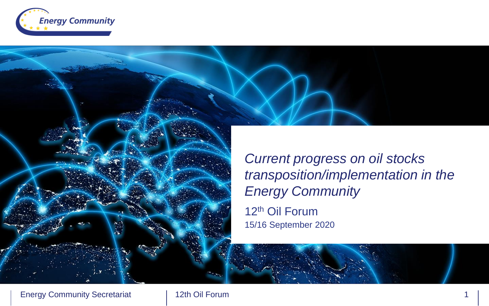

12th Oil Forum 15/16 September 2020 *Current progress on oil stocks transposition/implementation in the Energy Community*

**Energy Community Secretariat**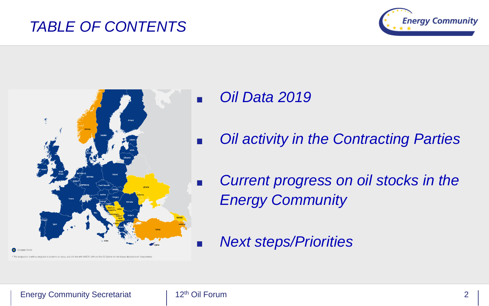### *TABLE OF CONTENTS*





- *Oil Data 2019*
- *Oil activity in the Contracting Parties*
- *Current progress on oil stocks in the Energy Community*
- *Next steps/Priorities*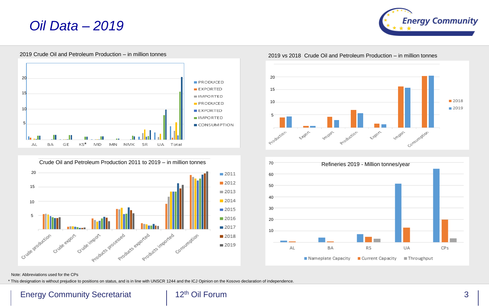### *Oil Data – 2019*

2019 Crude Oil and Petroleum Production – in million tonnes







#### 2019 vs 2018 Crude Oil and Petroleum Production – in million tonnes





#### Note: Abbreviations used for the CPs

\* This designation is without prejudice to positions on status, and is in line with UNSCR 1244 and the ICJ Opinion on the Kosovo declaration of independence.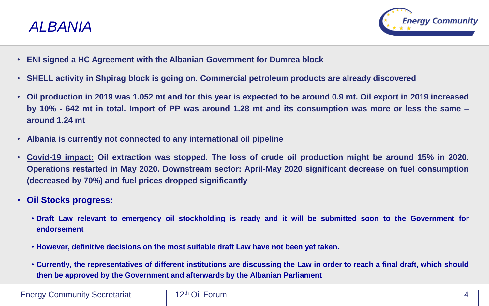



- **ENI signed a HC Agreement with the Albanian Government for Dumrea block**
- **SHELL activity in Shpirag block is going on. Commercial petroleum products are already discovered**
- Oil production in 2019 was 1.052 mt and for this year is expected to be around 0.9 mt. Oil export in 2019 increased by 10% - 642 mt in total. Import of PP was around 1.28 mt and its consumption was more or less the same **around 1.24 mt**
- **Albania is currently not connected to any international oil pipeline**
- Covid-19 impact: Oil extraction was stopped. The loss of crude oil production might be around 15% in 2020. **Operations restarted in May 2020. Downstream sector: April-May 2020 significant decrease on fuel consumption (decreased by 70%) and fuel prices dropped significantly**
- **Oil Stocks progress:**
	- . Draft Law relevant to emergency oil stockholding is ready and it will be submitted soon to the Government for **endorsement**
	- **However, definitive decisions on the most suitable draft Law have not been yet taken.**
	- Currently, the representatives of different institutions are discussing the Law in order to reach a final draft, which should **then be approved by the Government and afterwards by the Albanian Parliament**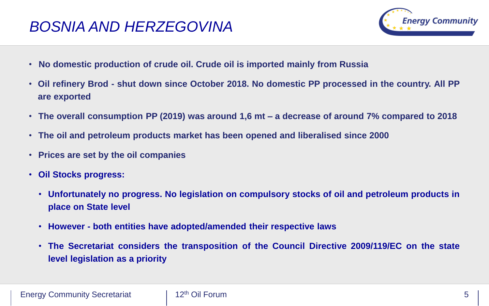## *BOSNIA AND HERZEGOVINA*



- **No domestic production of crude oil. Crude oil is imported mainly from Russia**
- . Oil refinery Brod shut down since October 2018. No domestic PP processed in the country. All PP **are exported**
- **The overall consumption PP (2019) was around 1,6 mt – a decrease of around 7% compared to 2018**
- **The oil and petroleum products market has been opened and liberalised since 2000**
- **Prices are set by the oil companies**
- **Oil Stocks progress:**
	- **Unfortunately no progress. No legislation on compulsory stocks of oil and petroleum products in place on State level**
	- **However - both entities have adopted/amended their respective laws**
	- **The Secretariat considers the transposition of the Council Directive 2009/119/EC on the state level legislation as a priority**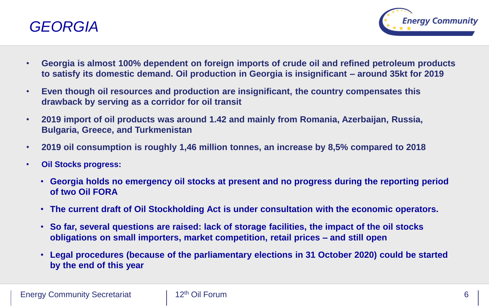



- **Georgia is almost 100% dependent on foreign imports of crude oil and refined petroleum products to satisfy its domestic demand. Oil production in Georgia is insignificant – around 35kt for 2019**
- **Even though oil resources and production are insignificant, the country compensates this drawback by serving as a corridor for oil transit**
- **2019 import of oil products was around 1.42 and mainly from Romania, Azerbaijan, Russia, Bulgaria, Greece, and Turkmenistan**
- **2019 oil consumption is roughly 1,46 million tonnes, an increase by 8,5% compared to 2018**
- **Oil Stocks progress:**
	- **Georgia holds no emergency oil stocks at present and no progress during the reporting period of two Oil FORA**
	- **The current draft of Oil Stockholding Act is under consultation with the economic operators.**
	- **So far, several questions are raised: lack of storage facilities, the impact of the oil stocks obligations on small importers, market competition, retail prices – and still open**
	- **Legal procedures (because of the parliamentary elections in 31 October 2020) could be started by the end of this year**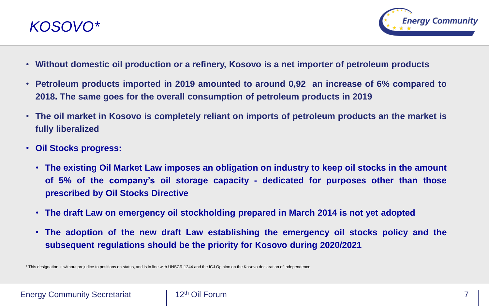



- **Without domestic oil production or a refinery, Kosovo is a net importer of petroleum products**
- **Petroleum products imported in 2019 amounted to around 0,92 an increase of 6% compared to 2018. The same goes for the overall consumption of petroleum products in 2019**
- **The oil market in Kosovo is completely reliant on imports of petroleum products an the market is fully liberalized**
- **Oil Stocks progress:**
	- **The existing Oil Market Law imposes an obligation on industry to keep oil stocks in the amount of 5% of the company's oil storage capacity - dedicated for purposes other than those prescribed by Oil Stocks Directive**
	- **The draft Law on emergency oil stockholding prepared in March 2014 is not yet adopted**
	- **The adoption of the new draft Law establishing the emergency oil stocks policy and the subsequent regulations should be the priority for Kosovo during 2020/2021**

\* This designation is without prejudice to positions on status, and is in line with UNSCR 1244 and the ICJ Opinion on the Kosovo declaration of independence.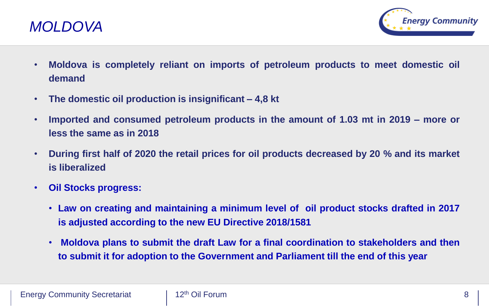



- **Moldova is completely reliant on imports of petroleum products to meet domestic oil demand**
- **The domestic oil production is insignificant – 4,8 kt**
- **Imported and consumed petroleum products in the amount of 1.03 mt in 2019 – more or less the same as in 2018**
- **During first half of 2020 the retail prices for oil products decreased by 20 % and its market is liberalized**
- **Oil Stocks progress:**
	- **Law on creating and maintaining a minimum level of oil product stocks drafted in 2017 is adjusted according to the new EU Directive 2018/1581**
	- **Moldova plans to submit the draft Law for a final coordination to stakeholders and then to submit it for adoption to the Government and Parliament till the end of this year**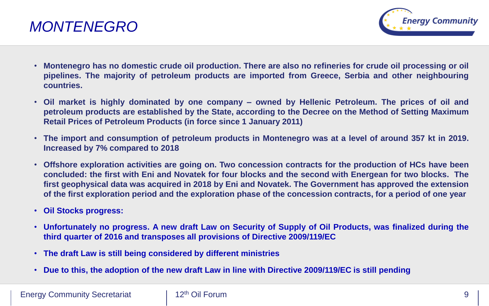



- Montenegro has no domestic crude oil production. There are also no refineries for crude oil processing or oil **pipelines. The majority of petroleum products are imported from Greece, Serbia and other neighbouring countries.**
- . Oil market is highly dominated by one company owned by Hellenic Petroleum. The prices of oil and **petroleum products are established by the State, according to the Decree on the Method of Setting Maximum Retail Prices of Petroleum Products (in force since 1 January 2011)**
- The import and consumption of petroleum products in Montenegro was at a level of around 357 kt in 2019. **Increased by 7% compared to 2018**
- **Offshore exploration activities are going on. Two concession contracts for the production of HCs have been** concluded: the first with Eni and Novatek for four blocks and the second with Energean for two blocks. The **first geophysical data was acquired in 2018 by Eni and Novatek. The Government has approved the extension** of the first exploration period and the exploration phase of the concession contracts, for a period of one year
- **Oil Stocks progress:**
- Unfortunately no progress. A new draft Law on Security of Supply of Oil Products, was finalized during the **third quarter of 2016 and transposes all provisions of Directive 2009/119/EC**
- **The draft Law is still being considered by different ministries**
- . Due to this, the adoption of the new draft Law in line with Directive 2009/119/EC is still pending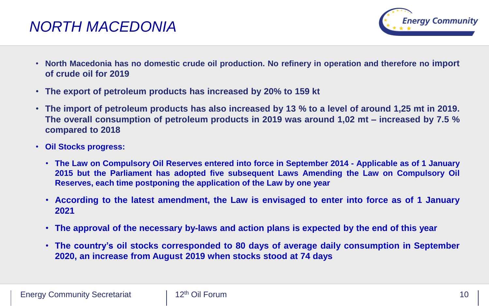### *NORTH MACEDONIA*



- **North Macedonia has no domestic crude oil production. No refinery in operation and therefore no import of crude oil for 2019**
- **The export of petroleum products has increased by 20% to 159 kt**
- The import of petroleum products has also increased by 13 % to a level of around 1,25 mt in 2019. **The overall consumption of petroleum products in 2019 was around 1,02 mt – increased by 7.5 % compared to 2018**
- **Oil Stocks progress:**
	- The Law on Compulsory Oil Reserves entered into force in September 2014 Applicable as of 1 January **2015 but the Parliament has adopted five subsequent Laws Amending the Law on Compulsory Oil Reserves, each time postponing the application of the Law by one year**
	- **According to the latest amendment, the Law is envisaged to enter into force as of 1 January 2021**
	- **The approval of the necessary by-laws and action plans is expected by the end of this year**
	- **The country's oil stocks corresponded to 80 days of average daily consumption in September 2020, an increase from August 2019 when stocks stood at 74 days**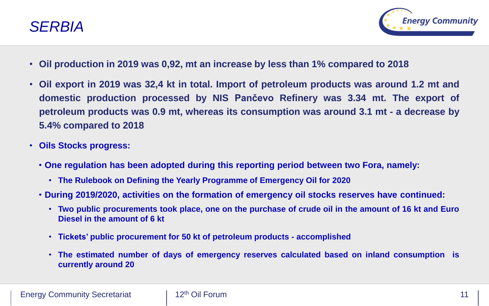



- **Oil production in 2019 was 0,92, mt an increase by less than 1% compared to 2018**
- **Oil export in 2019 was 32,4 kt in total. Import of petroleum products was around 1.2 mt and domestic production processed by NIS Pančevo Refinery was 3.34 mt. The export of petroleum products was 0.9 mt, whereas its consumption was around 3.1 mt - a decrease by 5.4% compared to 2018**
- **Oils Stocks progress:**
	- **One regulation has been adopted during this reporting period between two Fora, namely:**
		- **The Rulebook on Defining the Yearly Programme of Emergency Oil for 2020**
	- **During 2019/2020, activities on the formation of emergency oil stocks reserves have continued:**
		- Two public procurements took place, one on the purchase of crude oil in the amount of 16 kt and Euro **Diesel in the amount of 6 kt**
		- **Tickets' public procurement for 50 kt of petroleum products - accomplished**
		- **The estimated number of days of emergency reserves calculated based on inland consumption is currently around 20**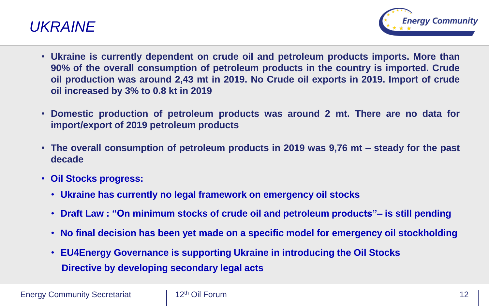



- **Ukraine is currently dependent on crude oil and petroleum products imports. More than 90% of the overall consumption of petroleum products in the country is imported. Crude oil production was around 2,43 mt in 2019. No Crude oil exports in 2019. Import of crude oil increased by 3% to 0.8 kt in 2019**
- **Domestic production of petroleum products was around 2 mt. There are no data for import/export of 2019 petroleum products**
- **The overall consumption of petroleum products in 2019 was 9,76 mt – steady for the past decade**
- **Oil Stocks progress:**
	- **Ukraine has currently no legal framework on emergency oil stocks**
	- **Draft Law : "On minimum stocks of crude oil and petroleum products"– is still pending**
	- **No final decision has been yet made on a specific model for emergency oil stockholding**
	- **EU4Energy Governance is supporting Ukraine in introducing the Oil Stocks Directive by developing secondary legal acts**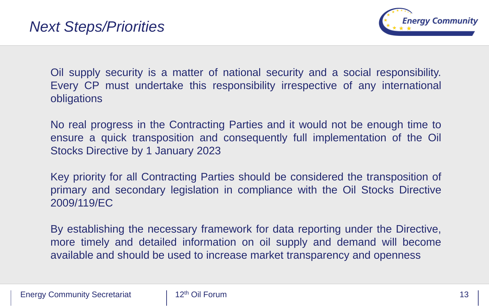

Oil supply security is a matter of national security and a social responsibility. Every CP must undertake this responsibility irrespective of any international obligations

No real progress in the Contracting Parties and it would not be enough time to ensure a quick transposition and consequently full implementation of the Oil Stocks Directive by 1 January 2023

Key priority for all Contracting Parties should be considered the transposition of primary and secondary legislation in compliance with the Oil Stocks Directive 2009/119/EC

By establishing the necessary framework for data reporting under the Directive, more timely and detailed information on oil supply and demand will become available and should be used to increase market transparency and openness